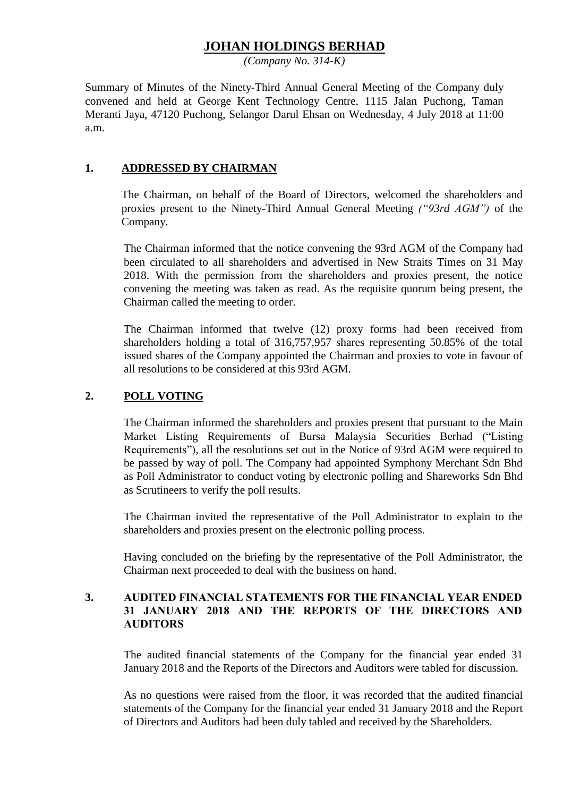# **JOHAN HOLDINGS BERHAD**

*(Company No. 314-K)*

Summary of Minutes of the Ninety-Third Annual General Meeting of the Company duly convened and held at George Kent Technology Centre, 1115 Jalan Puchong, Taman Meranti Jaya, 47120 Puchong, Selangor Darul Ehsan on Wednesday, 4 July 2018 at 11:00 a.m.

### **1. ADDRESSED BY CHAIRMAN**

The Chairman, on behalf of the Board of Directors, welcomed the shareholders and proxies present to the Ninety-Third Annual General Meeting *("93rd AGM")* of the Company.

The Chairman informed that the notice convening the 93rd AGM of the Company had been circulated to all shareholders and advertised in New Straits Times on 31 May 2018. With the permission from the shareholders and proxies present, the notice convening the meeting was taken as read. As the requisite quorum being present, the Chairman called the meeting to order.

The Chairman informed that twelve (12) proxy forms had been received from shareholders holding a total of 316,757,957 shares representing 50.85% of the total issued shares of the Company appointed the Chairman and proxies to vote in favour of all resolutions to be considered at this 93rd AGM.

### **2. POLL VOTING**

The Chairman informed the shareholders and proxies present that pursuant to the Main Market Listing Requirements of Bursa Malaysia Securities Berhad ("Listing Requirements"), all the resolutions set out in the Notice of 93rd AGM were required to be passed by way of poll. The Company had appointed Symphony Merchant Sdn Bhd as Poll Administrator to conduct voting by electronic polling and Shareworks Sdn Bhd as Scrutineers to verify the poll results.

The Chairman invited the representative of the Poll Administrator to explain to the shareholders and proxies present on the electronic polling process.

Having concluded on the briefing by the representative of the Poll Administrator, the Chairman next proceeded to deal with the business on hand.

### **3. AUDITED FINANCIAL STATEMENTS FOR THE FINANCIAL YEAR ENDED 31 JANUARY 2018 AND THE REPORTS OF THE DIRECTORS AND AUDITORS**

The audited financial statements of the Company for the financial year ended 31 January 2018 and the Reports of the Directors and Auditors were tabled for discussion.

As no questions were raised from the floor, it was recorded that the audited financial statements of the Company for the financial year ended 31 January 2018 and the Report of Directors and Auditors had been duly tabled and received by the Shareholders.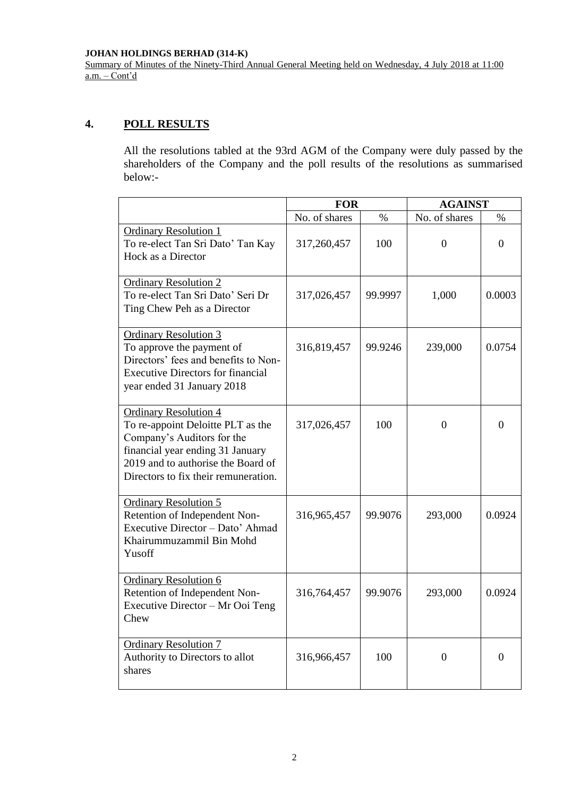#### **JOHAN HOLDINGS BERHAD (314-K)**

Summary of Minutes of the Ninety-Third Annual General Meeting held on Wednesday, 4 July 2018 at 11:00  $a.m. - Cont'd$ 

## **4. POLL RESULTS**

All the resolutions tabled at the 93rd AGM of the Company were duly passed by the shareholders of the Company and the poll results of the resolutions as summarised below:-

|                                                                                                                                                                                                                   | <b>FOR</b>    |         | <b>AGAINST</b> |                |
|-------------------------------------------------------------------------------------------------------------------------------------------------------------------------------------------------------------------|---------------|---------|----------------|----------------|
|                                                                                                                                                                                                                   | No. of shares | $\%$    | No. of shares  | $\%$           |
| <b>Ordinary Resolution 1</b><br>To re-elect Tan Sri Dato' Tan Kay<br>Hock as a Director                                                                                                                           | 317,260,457   | 100     | $\overline{0}$ | $\Omega$       |
| <b>Ordinary Resolution 2</b><br>To re-elect Tan Sri Dato' Seri Dr<br>Ting Chew Peh as a Director                                                                                                                  | 317,026,457   | 99.9997 | 1,000          | 0.0003         |
| <b>Ordinary Resolution 3</b><br>To approve the payment of<br>Directors' fees and benefits to Non-<br><b>Executive Directors for financial</b><br>year ended 31 January 2018                                       | 316,819,457   | 99.9246 | 239,000        | 0.0754         |
| <b>Ordinary Resolution 4</b><br>To re-appoint Deloitte PLT as the<br>Company's Auditors for the<br>financial year ending 31 January<br>2019 and to authorise the Board of<br>Directors to fix their remuneration. | 317,026,457   | 100     | $\overline{0}$ | $\theta$       |
| <b>Ordinary Resolution 5</b><br>Retention of Independent Non-<br>Executive Director - Dato' Ahmad<br>Khairummuzammil Bin Mohd<br>Yusoff                                                                           | 316,965,457   | 99.9076 | 293,000        | 0.0924         |
| <b>Ordinary Resolution 6</b><br>Retention of Independent Non-<br>Executive Director - Mr Ooi Teng<br>Chew                                                                                                         | 316,764,457   | 99.9076 | 293,000        | 0.0924         |
| <b>Ordinary Resolution 7</b><br>Authority to Directors to allot<br>shares                                                                                                                                         | 316,966,457   | 100     | $\mathbf{0}$   | $\overline{0}$ |